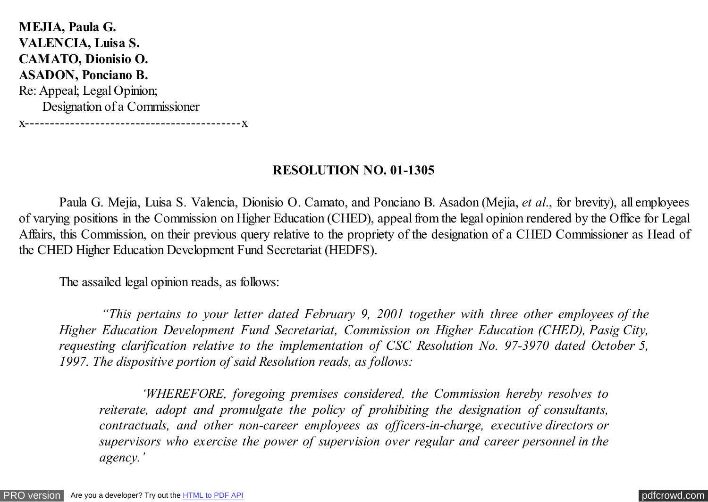**MEJIA, Paula G. VALENCIA, Luisa S. CAMATO, Dionisio O. ASADON, Ponciano B.** Re: Appeal; Legal Opinion; Designation of a Commissioner x-------------------------------------------x

#### **RESOLUTION NO. 01-1305**

 Paula G. Mejia, Luisa S. Valencia, Dionisio O. Camato, and Ponciano B. Asadon (Mejia, *et al*., for brevity), all employees of varying positions in the Commission on Higher Education (CHED), appeal from the legal opinion rendered by the Office for Legal Affairs, this Commission, on their previous query relative to the propriety of the designation of a CHED Commissioner as Head of the CHED Higher Education Development Fund Secretariat (HEDFS).

The assailed legal opinion reads, as follows:

 *"This pertains to your letter dated February 9, 2001 together with three other employees of the Higher Education Development Fund Secretariat, Commission on Higher Education (CHED), Pasig City, requesting clarification relative to the implementation of CSC Resolution No. 97-3970 dated October 5, 1997. The dispositive portion of said Resolution reads, as follows:*

 *'WHEREFORE, foregoing premises considered, the Commission hereby resolves to reiterate, adopt and promulgate the policy of prohibiting the designation of consultants, contractuals, and other non-career employees as officers-in-charge, executive directors or supervisors who exercise the power of supervision over regular and career personnel in the agency.'*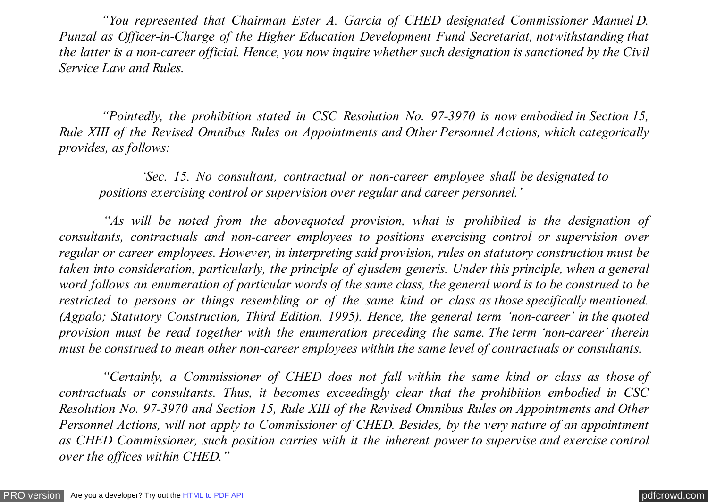*"You represented that Chairman Ester A. Garcia of CHED designated Commissioner Manuel D. Punzal as Officer-in-Charge of the Higher Education Development Fund Secretariat, notwithstanding that the latter is a non-career official. Hence, you now inquire whether such designation is sanctioned by the Civil Service Law and Rules.*

 *"Pointedly, the prohibition stated in CSC Resolution No. 97-3970 is now embodied in Section 15, Rule XIII of the Revised Omnibus Rules on Appointments and Other Personnel Actions, which categorically provides, as follows:*

 *'Sec. 15. No consultant, contractual or non-career employee shall be designated to positions exercising control or supervision over regular and career personnel.'*

 *"As will be noted from the abovequoted provision, what is prohibited is the designation of consultants, contractuals and non-career employees to positions exercising control or supervision over regular or career employees. However, in interpreting said provision, rules on statutory construction must be taken into consideration, particularly, the principle of ejusdem generis. Under this principle, when a general word follows an enumeration of particular words of the same class, the general word is to be construed to be restricted to persons or things resembling or of the same kind or class as those specifically mentioned. (Agpalo; Statutory Construction, Third Edition, 1995). Hence, the general term 'non-career' in the quoted provision must be read together with the enumeration preceding the same. The term 'non-career' therein must be construed to mean other non-career employees within the same level of contractuals or consultants.*

 *"Certainly, a Commissioner of CHED does not fall within the same kind or class as those of contractuals or consultants. Thus, it becomes exceedingly clear that the prohibition embodied in CSC Resolution No. 97-3970 and Section 15, Rule XIII of the Revised Omnibus Rules on Appointments and Other Personnel Actions, will not apply to Commissioner of CHED. Besides, by the very nature of an appointment as CHED Commissioner, such position carries with it the inherent power to supervise and exercise control over the offices within CHED."*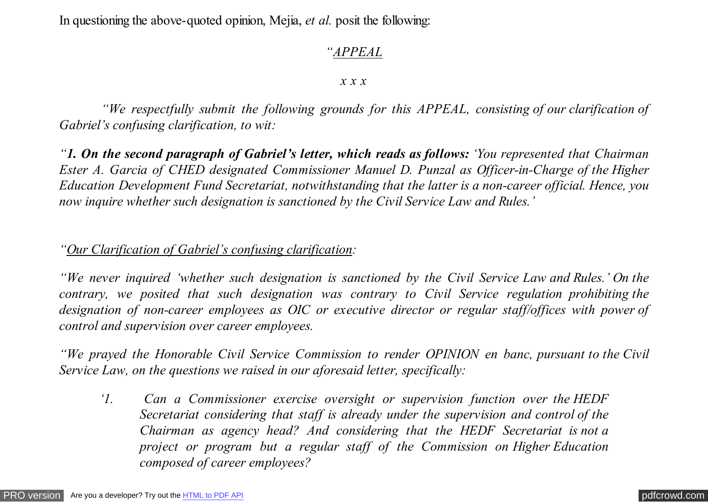In questioning the above-quoted opinion, Mejia, *et al.* posit the following:

### *"APPEAL*

#### *x x x*

 *"We respectfully submit the following grounds for this APPEAL, consisting of our clarification of Gabriel's confusing clarification, to wit:*

*"1. On the second paragraph of Gabriel's letter, which reads as follows: 'You represented that Chairman Ester A. Garcia of CHED designated Commissioner Manuel D. Punzal as Officer-in-Charge of the Higher Education Development Fund Secretariat, notwithstanding that the latter is a non-career official. Hence, you now inquire whether such designation is sanctioned by the Civil Service Law and Rules.'*

## *"Our Clarification of Gabriel's confusing clarification:*

*"We never inquired 'whether such designation is sanctioned by the Civil Service Law and Rules.' On the contrary, we posited that such designation was contrary to Civil Service regulation prohibiting the designation of non-career employees as OIC or executive director or regular staff/offices with power of control and supervision over career employees.*

*"We prayed the Honorable Civil Service Commission to render OPINION en banc, pursuant to the Civil Service Law, on the questions we raised in our aforesaid letter, specifically:*

*'1. Can a Commissioner exercise oversight or supervision function over the HEDF Secretariat considering that staff is already under the supervision and control of the Chairman as agency head? And considering that the HEDF Secretariat is not a project or program but a regular staff of the Commission on Higher Education composed of career employees?*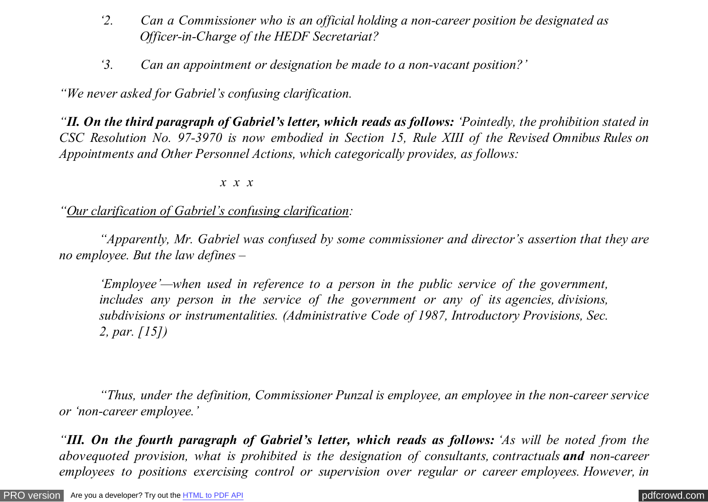- *'2. Can a Commissioner who is an official holding a non-career position be designated as Officer-in-Charge of the HEDF Secretariat?*
- *'3. Can an appointment or designation be made to a non-vacant position?'*

*"We never asked for Gabriel's confusing clarification.*

*"II. On the third paragraph of Gabriel's letter, which reads as follows: 'Pointedly, the prohibition stated in CSC Resolution No. 97-3970 is now embodied in Section 15, Rule XIII of the Revised Omnibus Rules on Appointments and Other Personnel Actions, which categorically provides, as follows:*

 *x x x*

*"Our clarification of Gabriel's confusing clarification:*

 *"Apparently, Mr. Gabriel was confused by some commissioner and director's assertion that they are no employee. But the law defines –*

*'Employee'—when used in reference to a person in the public service of the government, includes any person in the service of the government or any of its agencies, divisions, subdivisions or instrumentalities. (Administrative Code of 1987, Introductory Provisions, Sec. 2, par. [15])*

 *"Thus, under the definition, Commissioner Punzal is employee, an employee in the non-career service or 'non-career employee.'*

*"III. On the fourth paragraph of Gabriel's letter, which reads as follows: 'As will be noted from the abovequoted provision, what is prohibited is the designation of consultants, contractuals and non-career employees to positions exercising control or supervision over regular or career employees. However, in*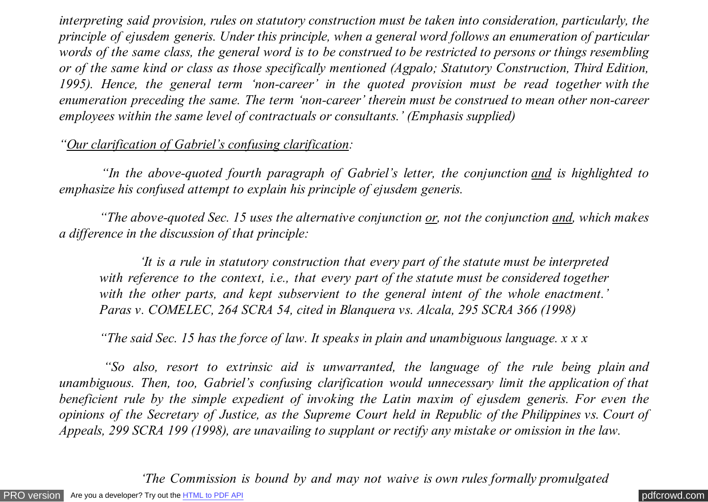*interpreting said provision, rules on statutory construction must be taken into consideration, particularly, the principle of ejusdem generis. Under this principle, when a general word follows an enumeration of particular words of the same class, the general word is to be construed to be restricted to persons or things resembling or of the same kind or class as those specifically mentioned (Agpalo; Statutory Construction, Third Edition, 1995). Hence, the general term 'non-career' in the quoted provision must be read together with the enumeration preceding the same. The term 'non-career' therein must be construed to mean other non-career employees within the same level of contractuals or consultants.' (Emphasis supplied)*

*"Our clarification of Gabriel's confusing clarification:*

 *"In the above-quoted fourth paragraph of Gabriel's letter, the conjunction and is highlighted to emphasize his confused attempt to explain his principle of ejusdem generis.*

 *"The above-quoted Sec. 15 uses the alternative conjunction or, not the conjunction and, which makes a difference in the discussion of that principle:*

 *'It is a rule in statutory construction that every part of the statute must be interpreted with reference to the context, i.e., that every part of the statute must be considered together with the other parts, and kept subservient to the general intent of the whole enactment.' Paras v. COMELEC, 264 SCRA 54, cited in Blanquera vs. Alcala, 295 SCRA 366 (1998)*

 *"The said Sec. 15 has the force of law. It speaks in plain and unambiguous language. x x x*

 *"So also, resort to extrinsic aid is unwarranted, the language of the rule being plain and unambiguous. Then, too, Gabriel's confusing clarification would unnecessary limit the application of that beneficient rule by the simple expedient of invoking the Latin maxim of ejusdem generis. For even the opinions of the Secretary of Justice, as the Supreme Court held in Republic of the Philippines vs. Court of Appeals, 299 SCRA 199 (1998), are unavailing to supplant or rectify any mistake or omission in the law.*

 *'The Commission is bound by and may not waive is own rules formally promulgated*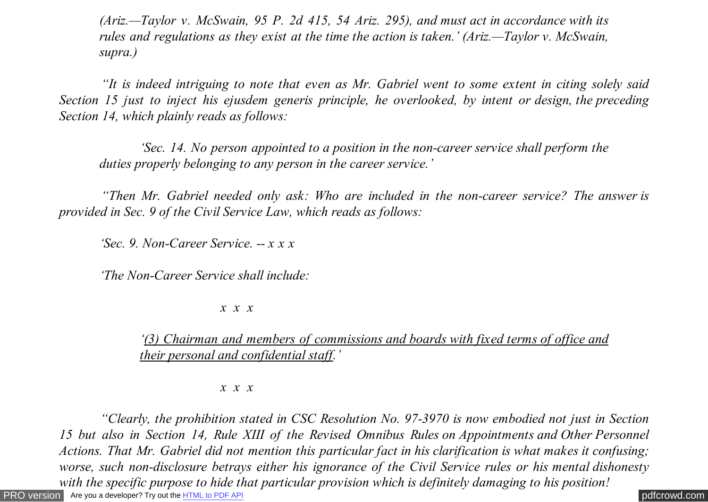*(Ariz.—Taylor v. McSwain, 95 P. 2d 415, 54 Ariz. 295), and must act in accordance with its rules and regulations as they exist at the time the action is taken.' (Ariz.—Taylor v. McSwain, supra.)*

 *"It is indeed intriguing to note that even as Mr. Gabriel went to some extent in citing solely said Section 15 just to inject his ejusdem generis principle, he overlooked, by intent or design, the preceding Section 14, which plainly reads as follows:*

 *'Sec. 14. No person appointed to a position in the non-career service shall perform the duties properly belonging to any person in the career service.'*

 *"Then Mr. Gabriel needed only ask: Who are included in the non-career service? The answer is provided in Sec. 9 of the Civil Service Law, which reads as follows:*

*'Sec. 9. Non-Career Service. -- x x x*

*'The Non-Career Service shall include:*

 *x x x*

*'(3) Chairman and members of commissions and boards with fixed terms of office and their personal and confidential staff.'*

#### *x x x*

[PRO version](http://pdfcrowd.com/customize/) Are you a developer? Try out th[e HTML to PDF API](http://pdfcrowd.com/html-to-pdf-api/?ref=pdf) contract the contract of the HTML to PDF API [pdfcrowd.com](http://pdfcrowd.com)  *"Clearly, the prohibition stated in CSC Resolution No. 97-3970 is now embodied not just in Section 15 but also in Section 14, Rule XIII of the Revised Omnibus Rules on Appointments and Other Personnel Actions. That Mr. Gabriel did not mention this particular fact in his clarification is what makes it confusing; worse, such non-disclosure betrays either his ignorance of the Civil Service rules or his mental dishonesty with the specific purpose to hide that particular provision which is definitely damaging to his position!*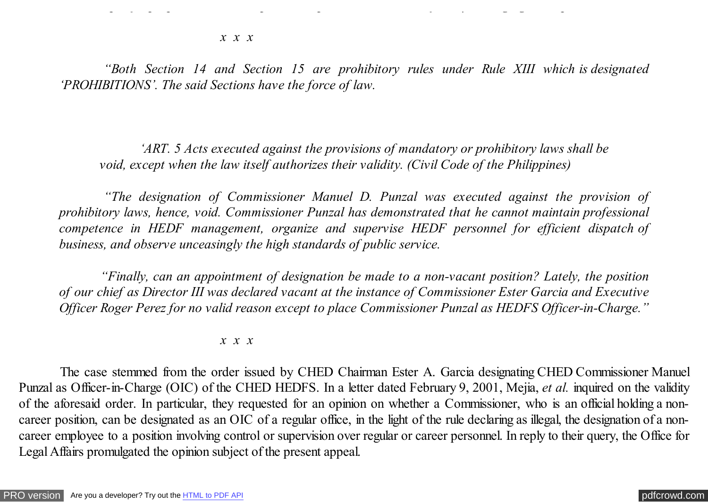*x x x*

 *"Both Section 14 and Section 15 are prohibitory rules under Rule XIII which is designated 'PROHIBITIONS'. The said Sections have the force of law.*

*with the specific purpose to hide that particular provision which is definitely damaging to his position!*

 *'ART. 5 Acts executed against the provisions of mandatory or prohibitory laws shall be void, except when the law itself authorizes their validity. (Civil Code of the Philippines)*

 *"The designation of Commissioner Manuel D. Punzal was executed against the provision of prohibitory laws, hence, void. Commissioner Punzal has demonstrated that he cannot maintain professional competence in HEDF management, organize and supervise HEDF personnel for efficient dispatch of business, and observe unceasingly the high standards of public service.*

 *"Finally, can an appointment of designation be made to a non-vacant position? Lately, the position of our chief as Director III was declared vacant at the instance of Commissioner Ester Garcia and Executive Officer Roger Perez for no valid reason except to place Commissioner Punzal as HEDFS Officer-in-Charge."*

 *x x x*

 The case stemmed from the order issued by CHED Chairman Ester A. Garcia designating CHED Commissioner Manuel Punzal as Officer-in-Charge (OIC) of the CHED HEDFS. In a letter dated February 9, 2001, Mejia, *et al.* inquired on the validity of the aforesaid order. In particular, they requested for an opinion on whether a Commissioner, who is an official holding a noncareer position, can be designated as an OIC of a regular office, in the light of the rule declaring as illegal, the designation of a noncareer employee to a position involving control or supervision over regular or career personnel. In reply to their query, the Office for Legal Affairs promulgated the opinion subject of the present appeal.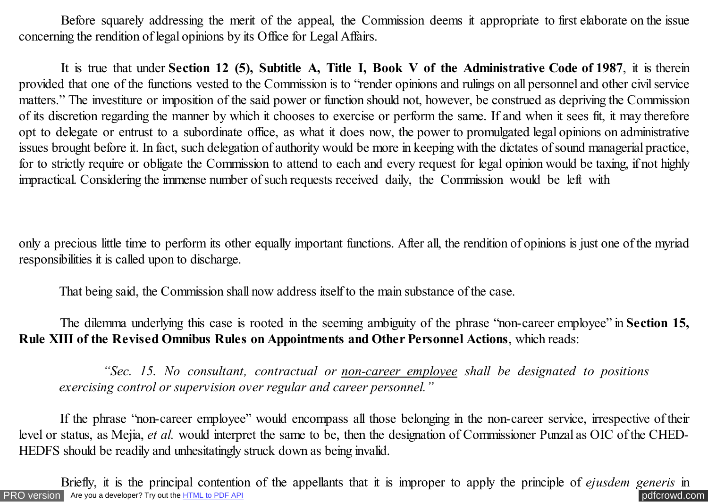Before squarely addressing the merit of the appeal, the Commission deems it appropriate to first elaborate on the issue concerning the rendition of legal opinions by its Office for Legal Affairs.

 It is true that under **Section 12 (5), Subtitle A, Title I, Book V of the Administrative Code of 1987**, it is therein provided that one of the functions vested to the Commission is to "render opinions and rulings on all personnel and other civil service matters." The investiture or imposition of the said power or function should not, however, be construed as depriving the Commission of its discretion regarding the manner by which it chooses to exercise or perform the same. If and when it sees fit, it may therefore opt to delegate or entrust to a subordinate office, as what it does now, the power to promulgated legal opinions on administrative issues brought before it. In fact, such delegation of authority would be more in keeping with the dictates of sound managerial practice, for to strictly require or obligate the Commission to attend to each and every request for legal opinion would be taxing, if not highly impractical. Considering the immense number of such requests received daily, the Commission would be left with

only a precious little time to perform its other equally important functions. After all, the rendition of opinions is just one of the myriad responsibilities it is called upon to discharge.

That being said, the Commission shall now address itself to the main substance of the case.

 The dilemma underlying this case is rooted in the seeming ambiguity of the phrase "non-career employee" in **Section 15, Rule XIII of the Revised Omnibus Rules on Appointments and Other Personnel Actions**, which reads:

 *"Sec. 15. No consultant, contractual or non-career employee shall be designated to positions exercising control or supervision over regular and career personnel."*

 If the phrase "non-career employee" would encompass all those belonging in the non-career service, irrespective of their level or status, as Mejia, *et al.* would interpret the same to be, then the designation of Commissioner Punzal as OIC of the CHED-HEDFS should be readily and unhesitatingly struck down as being invalid.

[PRO version](http://pdfcrowd.com/customize/) Are you a developer? Try out the **HTML to PDF API [pdfcrowd.com](http://pdfcrowd.com)** Briefly, it is the principal contention of the appellants that it is improper to apply the principle of *ejusdem generis* in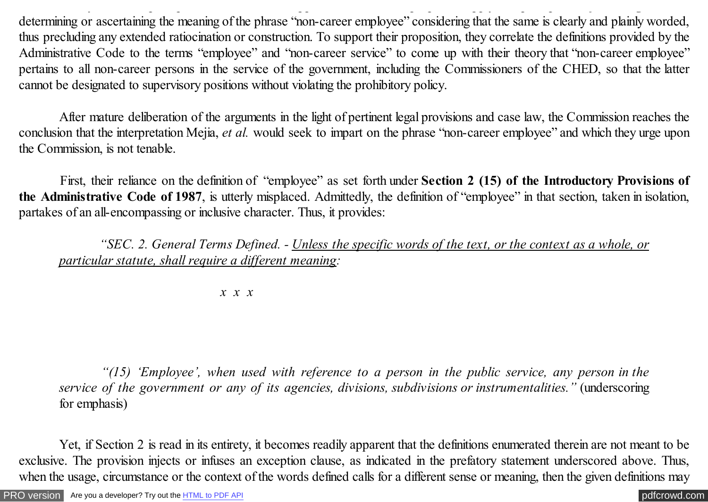determining or ascertaining the meaning of the phrase "non-career employee" considering that the same is clearly and plainly worded, thus precluding any extended ratiocination or construction. To support their proposition, they correlate the definitions provided by the Administrative Code to the terms "employee" and "non-career service" to come up with their theory that "non-career employee" pertains to all non-career persons in the service of the government, including the Commissioners of the CHED, so that the latter cannot be designated to supervisory positions without violating the prohibitory policy.

Briefly, it is the principal contention of the appellants that it is improper to apply the principle of *ejusdem generis* in

 After mature deliberation of the arguments in the light of pertinent legal provisions and case law, the Commission reaches the conclusion that the interpretation Mejia, *et al.* would seek to impart on the phrase "non-career employee" and which they urge upon the Commission, is not tenable.

 First, their reliance on the definition of "employee" as set forth under **Section 2 (15) of the Introductory Provisions of the Administrative Code of 1987**, is utterly misplaced. Admittedly, the definition of "employee" in that section, taken in isolation, partakes of an all-encompassing or inclusive character. Thus, it provides:

*"SEC. 2. General Terms Defined. - Unless the specific words of the text, or the context as a whole, or particular statute, shall require a different meaning:*

 *x x x*

 *"(15) 'Employee', when used with reference to a person in the public service, any person in the service of the government or any of its agencies, divisions, subdivisions or instrumentalities."* (underscoring for emphasis)

 Yet, if Section 2 is read in its entirety, it becomes readily apparent that the definitions enumerated therein are not meant to be exclusive. The provision injects or infuses an exception clause, as indicated in the prefatory statement underscored above. Thus, when the usage, circumstance or the context of the words defined calls for a different sense or meaning, then the given definitions may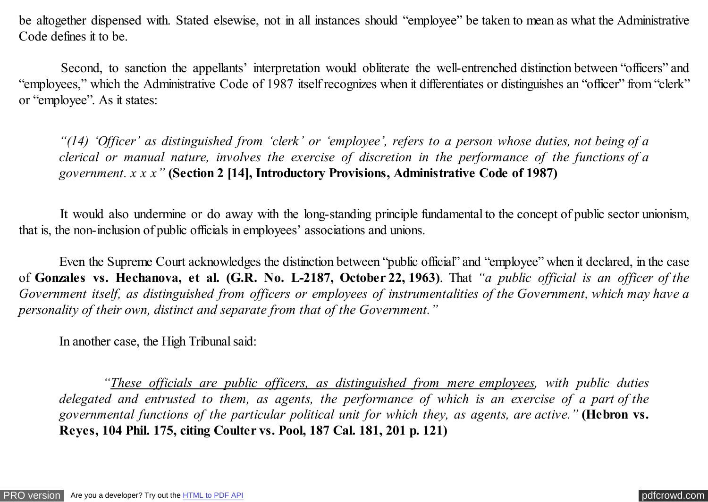be altogether dispensed with. Stated elsewise, not in all instances should "employee" be taken to mean as what the Administrative Code defines it to be.

 Second, to sanction the appellants' interpretation would obliterate the well-entrenched distinction between "officers" and "employees," which the Administrative Code of 1987 itself recognizes when it differentiates or distinguishes an "officer" from "clerk" or "employee". As it states:

*"(14) 'Officer' as distinguished from 'clerk' or 'employee', refers to a person whose duties, not being of a clerical or manual nature, involves the exercise of discretion in the performance of the functions of a government. x x x"* **(Section 2 [14], Introductory Provisions, Administrative Code of 1987)**

 It would also undermine or do away with the long-standing principle fundamental to the concept of public sector unionism, that is, the non-inclusion of public officials in employees' associations and unions.

 Even the Supreme Court acknowledges the distinction between "public official" and "employee" when it declared, in the case of **Gonzales vs. Hechanova, et al. (G.R. No. L-2187, October 22, 1963)**. That *"a public official is an officer of the Government itself, as distinguished from officers or employees of instrumentalities of the Government, which may have a personality of their own, distinct and separate from that of the Government."*

In another case, the High Tribunal said:

 *"These officials are public officers, as distinguished from mere employees, with public duties delegated and entrusted to them, as agents, the performance of which is an exercise of a part of the governmental functions of the particular political unit for which they, as agents, are active."* **(Hebron vs. Reyes, 104 Phil. 175, citing Coulter vs. Pool, 187 Cal. 181, 201 p. 121)**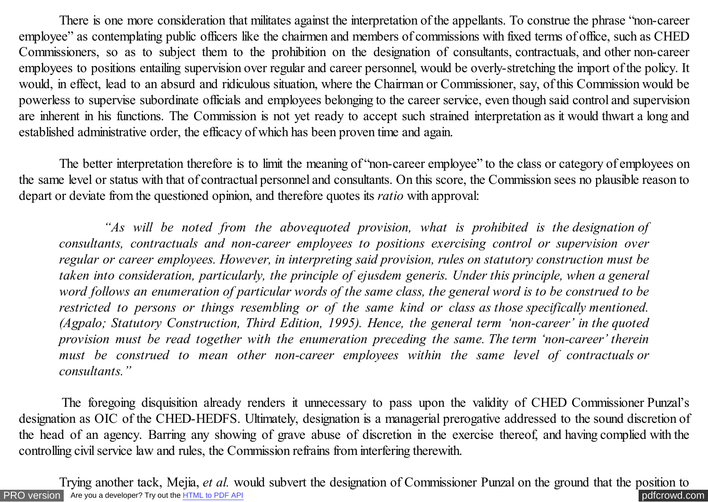There is one more consideration that militates against the interpretation of the appellants. To construe the phrase "non-career employee" as contemplating public officers like the chairmen and members of commissions with fixed terms of office, such as CHED Commissioners, so as to subject them to the prohibition on the designation of consultants, contractuals, and other non-career employees to positions entailing supervision over regular and career personnel, would be overly-stretching the import of the policy. It would, in effect, lead to an absurd and ridiculous situation, where the Chairman or Commissioner, say, of this Commission would be powerless to supervise subordinate officials and employees belonging to the career service, even though said control and supervision are inherent in his functions. The Commission is not yet ready to accept such strained interpretation as it would thwart a long and established administrative order, the efficacy of which has been proven time and again.

 The better interpretation therefore is to limit the meaning of "non-career employee" to the class or category of employees on the same level or status with that of contractual personnel and consultants. On this score, the Commission sees no plausible reason to depart or deviate from the questioned opinion, and therefore quotes its *ratio* with approval:

 *"As will be noted from the abovequoted provision, what is prohibited is the designation of consultants, contractuals and non-career employees to positions exercising control or supervision over regular or career employees. However, in interpreting said provision, rules on statutory construction must be taken into consideration, particularly, the principle of ejusdem generis. Under this principle, when a general word follows an enumeration of particular words of the same class, the general word is to be construed to be restricted to persons or things resembling or of the same kind or class as those specifically mentioned. (Agpalo; Statutory Construction, Third Edition, 1995). Hence, the general term 'non-career' in the quoted provision must be read together with the enumeration preceding the same. The term 'non-career' therein must be construed to mean other non-career employees within the same level of contractuals or consultants."*

 The foregoing disquisition already renders it unnecessary to pass upon the validity of CHED Commissioner Punzal's designation as OIC of the CHED-HEDFS. Ultimately, designation is a managerial prerogative addressed to the sound discretion of the head of an agency. Barring any showing of grave abuse of discretion in the exercise thereof, and having complied with the controlling civil service law and rules, the Commission refrains from interfering therewith.

[PRO version](http://pdfcrowd.com/customize/) Are you a developer? Try out the **HTML to PDF API [pdfcrowd.com](http://pdfcrowd.com)** Trying another tack, Mejia, *et al.* would subvert the designation of Commissioner Punzal on the ground that the position to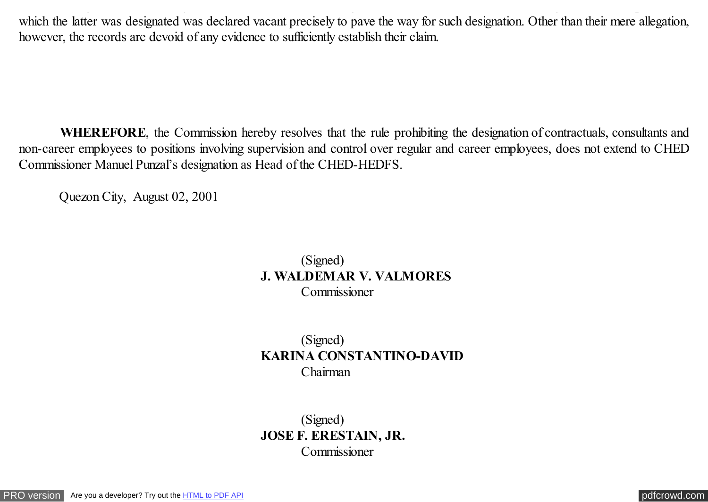which the latter was designated was declared vacant precisely to pave the way for such designation. Other than their mere allegation, however, the records are devoid of any evidence to sufficiently establish their claim.

Trying another tack, Mejia, *et al.* would subvert the designation of Commissioner Punzal on the ground that the position to

 **WHEREFORE**, the Commission hereby resolves that the rule prohibiting the designation of contractuals, consultants and non-career employees to positions involving supervision and control over regular and career employees, does not extend to CHED Commissioner Manuel Punzal's designation as Head of the CHED-HEDFS.

Quezon City, August 02, 2001

# (Signed) **J. WALDEMAR V. VALMORES Commissioner**

(Signed) **KARINA CONSTANTINO-DAVID** Chairman

(Signed) **JOSE F. ERESTAIN, JR.** Commissioner